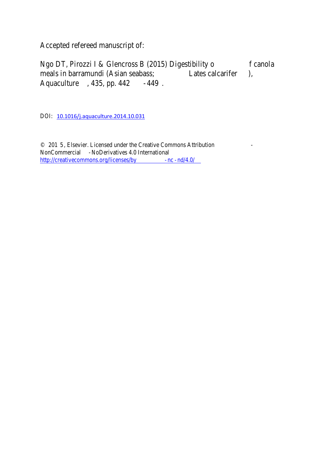Accepted refereed manuscript of:

Ngo DT, Pirozzi I & Glencross B (2015) Digestibility of canola meals in barramundi (Asian seabass; *Lates calcarifer*), *Aquaculture*, 435, pp. 442-449.

DOI: 10.1016/j.aquaculture.2014.10.031

© 2015, Elsevier. Licensed under the Creative Commons Attribution - NonCommercial -NoDerivatives 4.0 International http://creativecommons.org/licenses/by-nc-nd/4.0/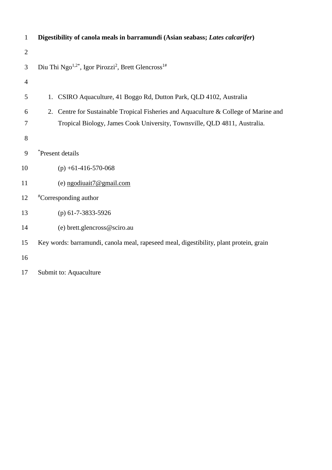| $\mathbf{1}$   | Digestibility of canola meals in barramundi (Asian seabass; Lates calcarifer)           |
|----------------|-----------------------------------------------------------------------------------------|
| $\overline{2}$ |                                                                                         |
| 3              | Diu Thi Ngo <sup>1,2*</sup> , Igor Pirozzi <sup>2</sup> , Brett Glencross <sup>1#</sup> |
| $\overline{4}$ |                                                                                         |
| 5              | CSIRO Aquaculture, 41 Boggo Rd, Dutton Park, QLD 4102, Australia<br>1.                  |
| 6              | 2. Centre for Sustainable Tropical Fisheries and Aquaculture & College of Marine and    |
| 7              | Tropical Biology, James Cook University, Townsville, QLD 4811, Australia.               |
| 8              |                                                                                         |
| 9              | *Present details                                                                        |
| 10             | $(p) + 61 - 416 - 570 - 068$                                                            |
| 11             | (e) ngodiuait7@gmail.com                                                                |
| 12             | <i>*</i> Corresponding author                                                           |
| 13             | (p) $61-7-3833-5926$                                                                    |
| 14             | (e) brett.glencross@sciro.au                                                            |
| 15             | Key words: barramundi, canola meal, rapeseed meal, digestibility, plant protein, grain  |
| 16             |                                                                                         |

Submit to: Aquaculture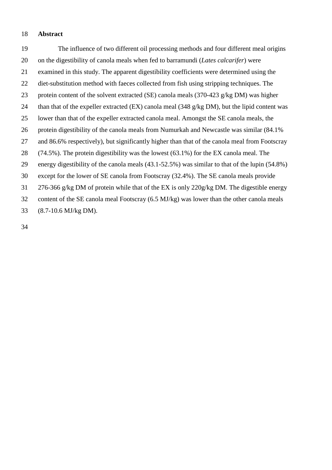# **Abstract**

 The influence of two different oil processing methods and four different meal origins on the digestibility of canola meals when fed to barramundi (*Lates calcarifer*) were examined in this study. The apparent digestibility coefficients were determined using the diet-substitution method with faeces collected from fish using stripping techniques. The protein content of the solvent extracted (SE) canola meals (370-423 g/kg DM) was higher than that of the expeller extracted (EX) canola meal (348 g/kg DM), but the lipid content was lower than that of the expeller extracted canola meal. Amongst the SE canola meals, the protein digestibility of the canola meals from Numurkah and Newcastle was similar (84.1% and 86.6% respectively), but significantly higher than that of the canola meal from Footscray (74.5%). The protein digestibility was the lowest (63.1%) for the EX canola meal. The energy digestibility of the canola meals (43.1-52.5%) was similar to that of the lupin (54.8%) except for the lower of SE canola from Footscray (32.4%). The SE canola meals provide 276-366 g/kg DM of protein while that of the EX is only 220g/kg DM. The digestible energy content of the SE canola meal Footscray (6.5 MJ/kg) was lower than the other canola meals (8.7-10.6 MJ/kg DM).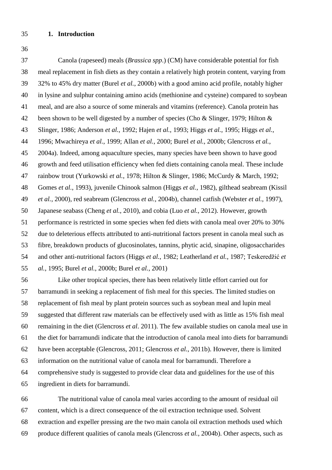## **1. Introduction**

 Canola (rapeseed) meals (*Brassica spp*.) (CM) have considerable potential for fish meal replacement in fish diets as they contain a relatively high protein content, varying from 32% to 45% dry matter (Burel *et al.*[, 2000b\)](#page-16-0) with a good amino acid profile, notably higher in lysine and sulphur containing amino acids (methionine and cysteine) compared to soybean meal, and are also a source of some minerals and vitamins (reference). Canola protein has 42 been shown to be well digested by a number of species [\(Cho & Slinger, 1979;](#page-17-0) Hilton & [Slinger, 1986;](#page-19-0) [Anderson](#page-16-1) *et al.*, 1992; Hajen *et al.*[, 1993;](#page-18-0) Higgs *et al.*[, 1995;](#page-19-1) [Higgs](#page-19-2) *et al.*, [1996;](#page-19-2) [Mwachireya](#page-20-0) *et al.*, 1999; Allan *et al.*[, 2000;](#page-16-2) Burel *et al.*[, 2000b;](#page-16-0) [Glencross](#page-18-1) *et al.*, [2004a\)](#page-18-1). Indeed, among aquaculture species, many species have been shown to have good growth and feed utilisation efficiency when fed diets containing canola meal. These include rainbow trout [\(Yurkowski](#page-21-0) *et al.*, 1978; [Hilton & Slinger, 1986;](#page-19-0) [McCurdy & March, 1992;](#page-20-1) [Gomes](#page-18-2) *et al.*, 1993), juvenile Chinook salmon (Higgs *et al.*[, 1982\)](#page-19-3), gilthead seabream [\(Kissil](#page-19-4) *et al.*[, 2000\)](#page-19-4), red seabream [\(Glencross](#page-18-3) *et al.*, 2004b), channel catfish [\(Webster](#page-20-2) *et al.*, 1997), Japanese seabass [\(Cheng](#page-17-1) *et al.*, 2010), and cobia (Luo *et al.*[, 2012\)](#page-19-5). However, growth performance is restricted in some species when fed diets with canola meal over 20% to 30% due to deleterious effects attributed to anti-nutritional factors present in canola meal such as fibre, breakdown products of glucosinolates, tannins, phytic acid, sinapine, oligosaccharides and other anti-nutritional factors (Higgs *et al.*[, 1982;](#page-19-3) [Leatherland](#page-19-6) *et al.*, 1987; [Teskeredžić](#page-20-3) *et al.*[, 1995;](#page-20-3) Burel *et al.*[, 2000b;](#page-16-0) Burel *et al.*[, 2001\)](#page-16-3)

 Like other tropical species, there has been relatively little effort carried out for barramundi in seeking a replacement of fish meal for this species. The limited studies on replacement of fish meal by plant protein sources such as soybean meal and lupin meal suggested that different raw materials can be effectively used with as little as 15% fish meal remaining in the diet (Glencross *et al*. 2011). The few available studies on canola meal use in the diet for barramundi indicate that the introduction of canola meal into diets for barramundi have been acceptable [\(Glencross, 2011;](#page-17-2) [Glencross](#page-18-4) *et al.*, 2011b). However, there is limited information on the nutritional value of canola meal for barramundi. Therefore a comprehensive study is suggested to provide clear data and guidelines for the use of this ingredient in diets for barramundi.

 The nutritional value of canola meal varies according to the amount of residual oil content, which is a direct consequence of the oil extraction technique used. Solvent extraction and expeller pressing are the two main canola oil extraction methods used which produce different qualities of canola meals [\(Glencross](#page-18-3) *et al.*, 2004b). Other aspects, such as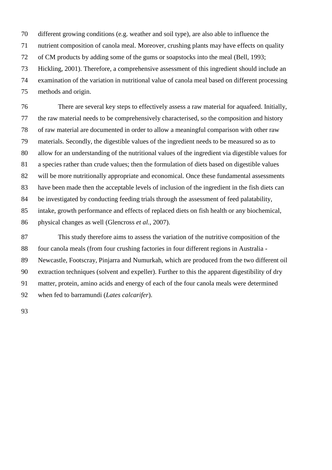different growing conditions (e.g. weather and soil type), are also able to influence the nutrient composition of canola meal. Moreover, crushing plants may have effects on quality of CM products by adding some of the gums or soapstocks into the meal [\(Bell, 1993;](#page-16-4) [Hickling, 2001\)](#page-19-7). Therefore, a comprehensive assessment of this ingredient should include an examination of the variation in nutritional value of canola meal based on different processing methods and origin.

 There are several key steps to effectively assess a raw material for aquafeed. Initially, the raw material needs to be comprehensively characterised, so the composition and history of raw material are documented in order to allow a meaningful comparison with other raw materials. Secondly, the digestible values of the ingredient needs to be measured so as to allow for an understanding of the nutritional values of the ingredient via digestible values for a species rather than crude values; then the formulation of diets based on digestible values will be more nutritionally appropriate and economical. Once these fundamental assessments have been made then the acceptable levels of inclusion of the ingredient in the fish diets can be investigated by conducting feeding trials through the assessment of feed palatability, intake, growth performance and effects of replaced diets on fish health or any biochemical, physical changes as well [\(Glencross](#page-18-5) *et al.*, 2007).

 This study therefore aims to assess the variation of the nutritive composition of the four canola meals (from four crushing factories in four different regions in Australia - Newcastle, Footscray, Pinjarra and Numurkah, which are produced from the two different oil extraction techniques (solvent and expeller). Further to this the apparent digestibility of dry matter, protein, amino acids and energy of each of the four canola meals were determined when fed to barramundi (*Lates calcarifer*).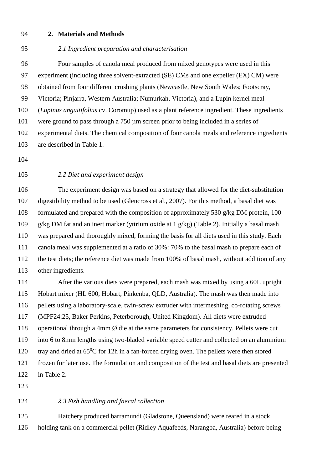#### **2. Materials and Methods**

#### *2.1 Ingredient preparation and characterisation*

 Four samples of canola meal produced from mixed genotypes were used in this experiment (including three solvent-extracted (SE) CMs and one expeller (EX) CM) were obtained from four different crushing plants (Newcastle, New South Wales; Footscray, Victoria; Pinjarra, Western Australia; Numurkah, Victoria), and a Lupin kernel meal (*Lupinus anguitifolius* cv. Coromup) used as a plant reference ingredient. These ingredients were ground to pass through a 750 µm screen prior to being included in a series of experimental diets. The chemical composition of four canola meals and reference ingredients are described in Table 1.

# *2.2 Diet and experiment design*

 The experiment design was based on a strategy that allowed for the diet-substitution digestibility method to be used (Glencross et al., 2007). For this method, a basal diet was formulated and prepared with the composition of approximately 530 g/kg DM protein, 100 g/kg DM fat and an inert marker (yttrium oxide at 1 g/kg) (Table 2). Initially a basal mash was prepared and thoroughly mixed, forming the basis for all diets used in this study. Each canola meal was supplemented at a ratio of 30%: 70% to the basal mash to prepare each of the test diets; the reference diet was made from 100% of basal mash, without addition of any other ingredients.

 After the various diets were prepared, each mash was mixed by using a 60L upright Hobart mixer (HL 600, Hobart, Pinkenba, QLD, Australia). The mash was then made into pellets using a laboratory-scale, twin-screw extruder with intermeshing, co-rotating screws (MPF24:25, Baker Perkins, Peterborough, United Kingdom). All diets were extruded operational through a 4mm Ø die at the same parameters for consistency. Pellets were cut into 6 to 8mm lengths using two-bladed variable speed cutter and collected on an aluminium 120 tray and dried at  $65^{\circ}$ C for 12h in a fan-forced drying oven. The pellets were then stored frozen for later use. The formulation and composition of the test and basal diets are presented in Table 2.

# *2.3 Fish handling and faecal collection*

 Hatchery produced barramundi (Gladstone, Queensland) were reared in a stock holding tank on a commercial pellet (Ridley Aquafeeds, Narangba, Australia) before being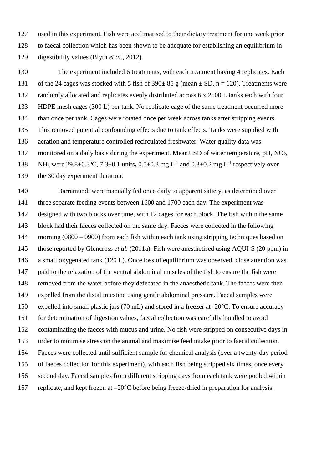used in this experiment. Fish were acclimatised to their dietary treatment for one week prior to faecal collection which has been shown to be adequate for establishing an equilibrium in digestibility values (Blyth *et al.*[, 2012\)](#page-16-5).

 The experiment included 6 treatments, with each treatment having 4 replicates. Each 131 of the 24 cages was stocked with 5 fish of  $390 \pm 85$  g (mean  $\pm$  SD, n = 120). Treatments were randomly allocated and replicates evenly distributed across 6 x 2500 L tanks each with four HDPE mesh cages (300 L) per tank. No replicate cage of the same treatment occurred more than once per tank. Cages were rotated once per week across tanks after stripping events. This removed potential confounding effects due to tank effects. Tanks were supplied with aeration and temperature controlled recirculated freshwater. Water quality data was 137 monitored on a daily basis during the experiment. Mean $\pm$  SD of water temperature, pH, NO<sub>2</sub>, 138 NH<sub>3</sub> were 29.8±0.3°C, 7.3±0.1 units, 0.5±0.3 mg L<sup>-1</sup> and 0.3±0.2 mg L<sup>-1</sup> respectively over the 30 day experiment duration.

 Barramundi were manually fed once daily to apparent satiety, as determined over three separate feeding events between 1600 and 1700 each day. The experiment was designed with two blocks over time, with 12 cages for each block. The fish within the same block had their faeces collected on the same day. Faeces were collected in the following 144 morning (0800 – 0900) from each fish within each tank using stripping techniques based on those reported by [Glencross](#page-18-6) *et al.* (2011a). Fish were anesthetised using AQUI-S (20 ppm) in a small oxygenated tank (120 L). Once loss of equilibrium was observed, close attention was paid to the relaxation of the ventral abdominal muscles of the fish to ensure the fish were removed from the water before they defecated in the anaesthetic tank. The faeces were then expelled from the distal intestine using gentle abdominal pressure. Faecal samples were expelled into small plastic jars (70 mL) and stored in a freezer at -20°C. To ensure accuracy for determination of digestion values, faecal collection was carefully handled to avoid contaminating the faeces with mucus and urine. No fish were stripped on consecutive days in order to minimise stress on the animal and maximise feed intake prior to faecal collection. Faeces were collected until sufficient sample for chemical analysis (over a twenty-day period of faeces collection for this experiment), with each fish being stripped six times, once every second day. Faecal samples from different stripping days from each tank were pooled within 157 replicate, and kept frozen at  $-20^{\circ}$ C before being freeze-dried in preparation for analysis.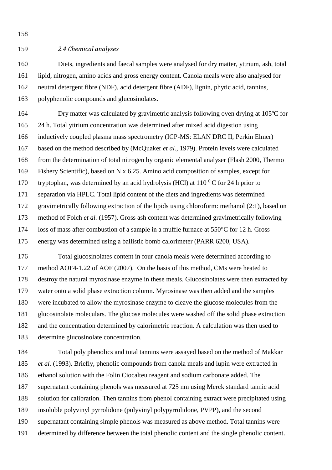# *2.4 Chemical analyses*

 Diets, ingredients and faecal samples were analysed for dry matter, yttrium, ash, total lipid, nitrogen, amino acids and gross energy content. Canola meals were also analysed for neutral detergent fibre (NDF), acid detergent fibre (ADF), lignin, phytic acid, tannins, polyphenolic compounds and glucosinolates.

 Dry matter was calculated by gravimetric analysis following oven drying at 105ºC for 24 h. Total yttrium concentration was determined after mixed acid digestion using inductively coupled plasma mass spectrometry (ICP-MS: ELAN DRC II, Perkin Elmer) based on the method described by [\(McQuaker](#page-20-4) *et al.*, 1979). Protein levels were calculated from the determination of total nitrogen by organic elemental analyser (Flash 2000, Thermo Fishery Scientific), based on N x 6.25. Amino acid composition of samples, except for 170 tryptophan, was determined by an acid hydrolysis (HCl) at  $110<sup>0</sup>C$  for 24 h prior to separation via HPLC. Total lipid content of the diets and ingredients was determined gravimetrically following extraction of the lipids using chloroform: methanol (2:1), based on method of Folch *et al.* [\(1957\)](#page-17-3). Gross ash content was determined gravimetrically following 174 loss of mass after combustion of a sample in a muffle furnace at  $550^{\circ}$ C for 12 h. Gross energy was determined using a ballistic bomb calorimeter (PARR 6200, USA).

 Total glucosinolates content in four canola meals were determined according to method AOF4-1.22 of [AOF \(2007\)](#page-16-6). On the basis of this method, CMs were heated to destroy the natural myrosinase enzyme in these meals. Glucosinolates were then extracted by water onto a solid phase extraction column. Myrosinase was then added and the samples were incubated to allow the myrosinase enzyme to cleave the glucose molecules from the glucosinolate moleculars. The glucose molecules were washed off the solid phase extraction and the concentration determined by calorimetric reaction. A calculation was then used to determine glucosinolate concentration.

 Total poly phenolics and total tannins were assayed based on the method of [Makkar](#page-19-8) *et al.* [\(1993\)](#page-19-8). Briefly, phenolic compounds from canola meals and lupin were extracted in ethanol solution with the Folin Ciocalteu reagent and sodium carbonate added. The supernatant containing phenols was measured at 725 nm using Merck standard tannic acid solution for calibration. Then tannins from phenol containing extract were precipitated using insoluble polyvinyl pyrrolidone (polyvinyl polypyrrolidone, PVPP), and the second supernatant containing simple phenols was measured as above method. Total tannins were determined by difference between the total phenolic content and the single phenolic content.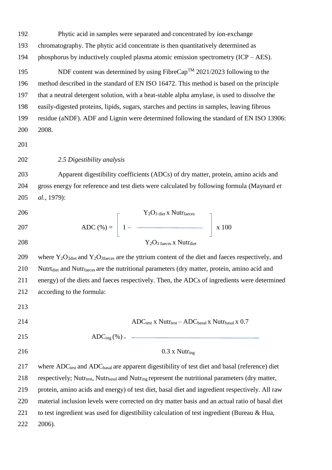Phytic acid in samples were separated and concentrated by ion-exchange

chromatography. The phytic acid concentrate is then quantitatively determined as

phosphorus by inductively coupled plasma atomic emission spectrometry (ICP – AES).

195 NDF content was determined by using FibreCap<sup>TM</sup> 2021/2023 following to the method described in the standard of EN ISO 16472. This method is based on the principle that a neutral detergent solution, with a heat-stable alpha amylase, is used to dissolve the easily-digested proteins, lipids, sugars, starches and pectins in samples, leaving fibrous residue (aNDF). ADF and Lignin were determined following the standard of EN ISO 13906: 2008.

#### 

*2.5 Digestibility analysis* 

 Apparent digestibility coefficients (ADCs) of dry matter, protein, amino acids and gross energy for reference and test diets were calculated by following formula [\(Maynard](#page-20-5) *et al.*[, 1979\)](#page-20-5):

206  
207 
$$
ADC (\%) = \left[ 1 - \frac{Y_2O_{3 \text{ diet X Nutfaces}}}{Y_2O_{3 \text{ facet X Nutf diet}}} \right] \times 100
$$

209 where  $Y_2O_{3\text{dict}}$  and  $Y_2O_{3\text{faces}}$  are the yttrium content of the diet and faeces respectively, and Nutrtdiet and Nutrfaeces are the nutritional parameters (dry matter, protein, amino acid and energy) of the diets and faeces respectively. Then, the ADCs of ingredients were determined according to the formula:

214  $ADC_{test}$  x Nutr<sub>test</sub> – ADC<sub>basal</sub> x Nutr<sub>basal</sub> x 0.7

215  $ADC_{\text{ing}} (\% )_{=}$   $\qquad \qquad$ 

0.3 x Nutr<sub>ing</sub>

217 where  $ADC_{test}$  and  $ADC_{basal}$  are apparent digestibility of test diet and basal (reference) diet 218 respectively; Nutr<sub>test</sub>, Nutr<sub>basal</sub> and Nutr<sub>ing</sub> represent the nutritional parameters (dry matter, protein, amino acids and energy) of test diet, basal diet and ingredient respectively. All raw material inclusion levels were corrected on dry matter basis and an actual ratio of basal diet to test ingredient was used for digestibility calculation of test ingredient [\(Bureau & Hua,](#page-16-7)  [2006\)](#page-16-7).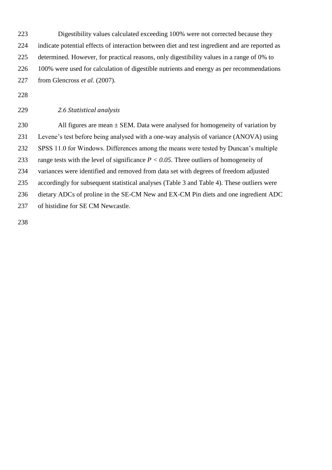Digestibility values calculated exceeding 100% were not corrected because they indicate potential effects of interaction between diet and test ingredient and are reported as determined. However, for practical reasons, only digestibility values in a range of 0% to 100% were used for calculation of digestible nutrients and energy as per recommendations from Glencross *et al*. (2007).

*2.6 Statistical analysis*

230 All figures are mean  $\pm$  SEM. Data were analysed for homogeneity of variation by Levene's test before being analysed with a one-way analysis of variance (ANOVA) using SPSS 11.0 for Windows. Differences among the means were tested by Duncan's multiple range tests with the level of significance *P < 0.05*. Three outliers of homogeneity of variances were identified and removed from data set with degrees of freedom adjusted accordingly for subsequent statistical analyses (Table 3 and Table 4). These outliers were dietary ADCs of proline in the SE-CM New and EX-CM Pin diets and one ingredient ADC of histidine for SE CM Newcastle.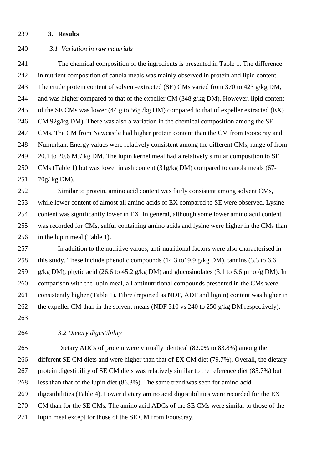#### **3. Results**

# *3.1 Variation in raw materials*

 The chemical composition of the ingredients is presented in Table 1. The difference in nutrient composition of canola meals was mainly observed in protein and lipid content. The crude protein content of solvent-extracted (SE) CMs varied from 370 to 423 g/kg DM, and was higher compared to that of the expeller CM (348 g/kg DM). However, lipid content of the SE CMs was lower (44 g to 56g /kg DM) compared to that of expeller extracted (EX) CM 92g/kg DM). There was also a variation in the chemical composition among the SE CMs. The CM from Newcastle had higher protein content than the CM from Footscray and Numurkah. Energy values were relatively consistent among the different CMs, range of from 249 20.1 to 20.6 MJ/ kg DM. The lupin kernel meal had a relatively similar composition to SE CMs (Table 1) but was lower in ash content (31g/kg DM) compared to canola meals (67- 70g/ kg DM).

 Similar to protein, amino acid content was fairly consistent among solvent CMs, while lower content of almost all amino acids of EX compared to SE were observed. Lysine content was significantly lower in EX. In general, although some lower amino acid content was recorded for CMs, sulfur containing amino acids and lysine were higher in the CMs than in the lupin meal (Table 1).

 In addition to the nutritive values, anti-nutritional factors were also characterised in 258 this study. These include phenolic compounds (14.3 to 19.9 g/kg DM), tannins (3.3 to 6.6 g/kg DM), phytic acid (26.6 to 45.2 g/kg DM) and glucosinolates (3.1 to 6.6 µmol/g DM). In comparison with the lupin meal, all antinutritional compounds presented in the CMs were consistently higher (Table 1). Fibre (reported as NDF, ADF and lignin) content was higher in 262 the expeller CM than in the solvent meals (NDF 310 vs 240 to 250 g/kg DM respectively). 

*3.2 Dietary digestibility*

 Dietary ADCs of protein were virtually identical (82.0% to 83.8%) among the 266 different SE CM diets and were higher than that of EX CM diet (79.7%). Overall, the dietary protein digestibility of SE CM diets was relatively similar to the reference diet (85.7%) but less than that of the lupin diet (86.3%). The same trend was seen for amino acid digestibilities (Table 4). Lower dietary amino acid digestibilities were recorded for the EX CM than for the SE CMs. The amino acid ADCs of the SE CMs were similar to those of the lupin meal except for those of the SE CM from Footscray.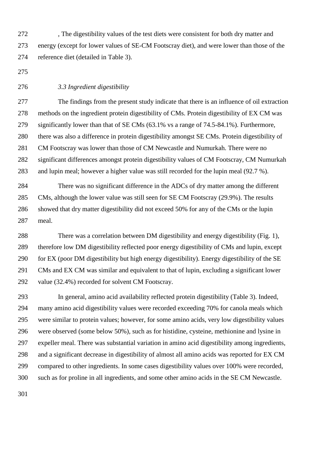, The digestibility values of the test diets were consistent for both dry matter and energy (except for lower values of SE-CM Footscray diet), and were lower than those of the reference diet (detailed in Table 3).

## *3.3 Ingredient digestibility*

 The findings from the present study indicate that there is an influence of oil extraction methods on the ingredient protein digestibility of CMs. Protein digestibility of EX CM was significantly lower than that of SE CMs (63.1% vs a range of 74.5-84.1%). Furthermore, there was also a difference in protein digestibility amongst SE CMs. Protein digestibility of CM Footscray was lower than those of CM Newcastle and Numurkah. There were no significant differences amongst protein digestibility values of CM Footscray, CM Numurkah and lupin meal; however a higher value was still recorded for the lupin meal (92.7 %).

 There was no significant difference in the ADCs of dry matter among the different CMs, although the lower value was still seen for SE CM Footscray (29.9%). The results showed that dry matter digestibility did not exceed 50% for any of the CMs or the lupin meal.

 There was a correlation between DM digestibility and energy digestibility (Fig. 1), therefore low DM digestibility reflected poor energy digestibility of CMs and lupin, except for EX (poor DM digestibility but high energy digestibility). Energy digestibility of the SE CMs and EX CM was similar and equivalent to that of lupin, excluding a significant lower value (32.4%) recorded for solvent CM Footscray.

 In general, amino acid availability reflected protein digestibility (Table 3). Indeed, many amino acid digestibility values were recorded exceeding 70% for canola meals which were similar to protein values; however, for some amino acids, very low digestibility values were observed (some below 50%), such as for histidine, cysteine, methionine and lysine in expeller meal. There was substantial variation in amino acid digestibility among ingredients, and a significant decrease in digestibility of almost all amino acids was reported for EX CM compared to other ingredients. In some cases digestibility values over 100% were recorded, such as for proline in all ingredients, and some other amino acids in the SE CM Newcastle.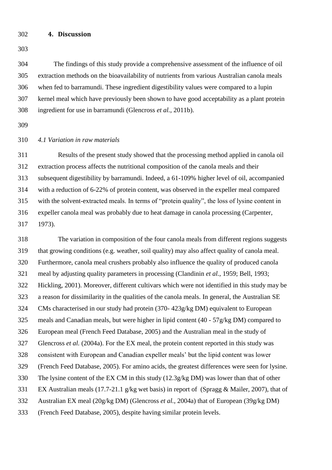# **4. Discussion**

 The findings of this study provide a comprehensive assessment of the influence of oil extraction methods on the bioavailability of nutrients from various Australian canola meals when fed to barramundi. These ingredient digestibility values were compared to a lupin kernel meal which have previously been shown to have good acceptability as a plant protein ingredient for use in barramundi [\(Glencross](#page-18-4) *et al.*, 2011b).

# *4.1 Variation in raw materials*

 Results of the present study showed that the processing method applied in canola oil extraction process affects the nutritional composition of the canola meals and their subsequent digestibility by barramundi. Indeed, a 61-109% higher level of oil, accompanied with a reduction of 6-22% of protein content, was observed in the expeller meal compared with the solvent-extracted meals. In terms of "protein quality", the loss of lysine content in expeller canola meal was probably due to heat damage in canola processing [\(Carpenter,](#page-17-4)  [1973\)](#page-17-4).

 The variation in composition of the four canola meals from different regions suggests that growing conditions (e.g. weather, soil quality) may also affect quality of canola meal. Furthermore, canola meal crushers probably also influence the quality of produced canola meal by adjusting quality parameters in processing [\(Clandinin](#page-17-5) *et al.*, 1959; [Bell, 1993;](#page-16-4) [Hickling, 2001\)](#page-19-7). Moreover, different cultivars which were not identified in this study may be a reason for dissimilarity in the qualities of the canola meals. In general, the Australian SE CMs characterised in our study had protein (370- 423g/kg DM) equivalent to European meals and Canadian meals, but were higher in lipid content (40 - 57g/kg DM) compared to European meal [\(French Feed Database, 2005\)](#page-17-6) and the Australian meal in the study of [Glencross](#page-18-1) *et al.* (2004a). For the EX meal, the protein content reported in this study was consistent with European and Canadian expeller meals' but the lipid content was lower [\(French Feed Database, 2005\)](#page-17-6). For amino acids, the greatest differences were seen for lysine. The lysine content of the EX CM in this study (12.3g/kg DM) was lower than that of other EX Australian meals (17.7-21.1 g/kg wet basis) in report of [\(Spragg & Mailer, 2007\)](#page-20-6), that of Australian EX meal (20g/kg DM) [\(Glencross](#page-18-1) *et al.*, 2004a) that of European (39g/kg DM) [\(French Feed Database, 2005\)](#page-17-6), despite having similar protein levels.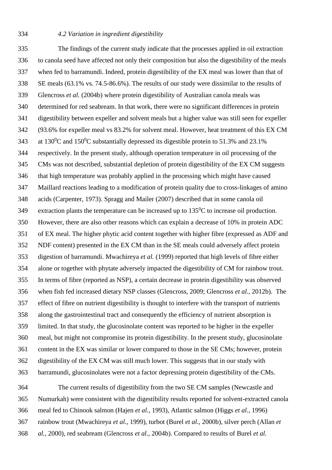# *4.2 Variation in ingredient digestibility*

 The findings of the current study indicate that the processes applied in oil extraction to canola seed have affected not only their composition but also the digestibility of the meals when fed to barramundi. Indeed, protein digestibility of the EX meal was lower than that of SE meals (63.1% vs. 74.5-86.6%). The results of our study were dissimilar to the results of [Glencross](#page-18-3) *et al.* (2004b) where protein digestibility of Australian canola meals was determined for red seabream. In that work, there were no significant differences in protein digestibility between expeller and solvent meals but a higher value was still seen for expeller (93.6% for expeller meal vs 83.2% for solvent meal. However, heat treatment of this EX CM 343 at 130<sup>0</sup>C and 150<sup>0</sup>C substantially depressed its digestible protein to 51.3% and 23.1% respectively. In the present study, although operation temperature in oil processing of the CMs was not described, substantial depletion of protein digestibility of the EX CM suggests that high temperature was probably applied in the processing which might have caused Maillard reactions leading to a modification of protein quality due to cross-linkages of amino acids [\(Carpenter, 1973\)](#page-17-4). [Spragg and Mailer \(2007\)](#page-20-6) described that in some canola oil 349 extraction plants the temperature can be increased up to  $135^{\circ}$ C to increase oil production. However, there are also other reasons which can explain a decrease of 10% in protein ADC of EX meal. The higher phytic acid content together with higher fibre (expressed as ADF and NDF content) presented in the EX CM than in the SE meals could adversely affect protein digestion of barramundi. [Mwachireya](#page-20-0) *et al.* (1999) reported that high levels of fibre either alone or together with phytate adversely impacted the digestibility of CM for rainbow trout. In terms of fibre (reported as NSP), a certain decrease in protein digestibility was observed when fish fed increased dietary NSP classes [\(Glencross, 2009;](#page-17-7) [Glencross](#page-18-7) *et al.*, 2012b). The effect of fibre on nutrient digestibility is thought to interfere with the transport of nutrients along the gastrointestinal tract and consequently the efficiency of nutrient absorption is limited. In that study, the glucosinolate content was reported to be higher in the expeller meal, but might not compromise its protein digestibility. In the present study, glucosinolate content in the EX was similar or lower compared to those in the SE CMs; however, protein digestibility of the EX CM was still much lower. This suggests that in our study with barramundi, glucosinolates were not a factor depressing protein digestibility of the CMs.

 The current results of digestibility from the two SE CM samples (Newcastle and Numurkah) were consistent with the digestibility results reported for solvent-extracted canola meal fed to Chinook salmon (Hajen *et al.*[, 1993\)](#page-18-0), Atlantic salmon (Higgs *et al.*[, 1996\)](#page-19-2) rainbow trout [\(Mwachireya](#page-20-0) *et al.*, 1999), turbot (Burel *et al.*[, 2000b\)](#page-16-0), silver perch [\(Allan](#page-16-2) *et al.*[, 2000\)](#page-16-2), red seabream [\(Glencross](#page-18-3) *et al.*, 2004b). Compared to results of [Burel](#page-16-8) *et al.*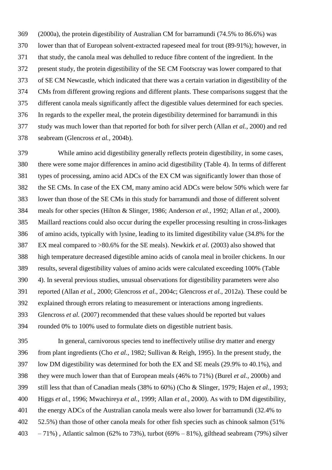[\(2000a\)](#page-16-8), the protein digestibility of Australian CM for barramundi (74.5% to 86.6%) was lower than that of European solvent-extracted rapeseed meal for trout (89-91%); however, in that study, the canola meal was dehulled to reduce fibre content of the ingredient. In the present study, the protein digestibility of the SE CM Footscray was lower compared to that of SE CM Newcastle, which indicated that there was a certain variation in digestibility of the CMs from different growing regions and different plants. These comparisons suggest that the different canola meals significantly affect the digestible values determined for each species. In regards to the expeller meal, the protein digestibility determined for barramundi in this study was much lower than that reported for both for silver perch (Allan *et al.*[, 2000\)](#page-16-2) and red seabream [\(Glencross](#page-18-3) *et al.*, 2004b).

 While amino acid digestibility generally reflects protein digestibility, in some cases, there were some major differences in amino acid digestibility (Table 4). In terms of different types of processing, amino acid ADCs of the EX CM was significantly lower than those of the SE CMs. In case of the EX CM, many amino acid ADCs were below 50% which were far lower than those of the SE CMs in this study for barramundi and those of different solvent meals for other species [\(Hilton & Slinger, 1986;](#page-19-0) [Anderson](#page-16-1) *et al.*, 1992; Allan *et al.*[, 2000\)](#page-16-2). Maillard reactions could also occur during the expeller processing resulting in cross-linkages of amino acids, typically with lysine, leading to its limited digestibility value (34.8% for the EX meal compared to >80.6% for the SE meals). [Newkirk](#page-20-7) *et al.* (2003) also showed that high temperature decreased digestible amino acids of canola meal in broiler chickens. In our results, several digestibility values of amino acids were calculated exceeding 100% (Table 4). In several previous studies, unusual observations for digestibility parameters were also reported (Allan *et al.*[, 2000;](#page-16-2) [Glencross](#page-18-8) *et al.*, 2004c; [Glencross](#page-17-8) *et al.*, 2012a). These could be explained through errors relating to measurement or interactions among ingredients. [Glencross](#page-18-5) *et al.* (2007) recommended that these values should be reported but values rounded 0% to 100% used to formulate diets on digestible nutrient basis.

 In general, carnivorous species tend to ineffectively utilise dry matter and energy from plant ingredients (Cho *et al.*[, 1982;](#page-17-9) [Sullivan & Reigh, 1995\)](#page-20-8). In the present study, the low DM digestibility was determined for both the EX and SE meals (29.9% to 40.1%), and they were much lower than that of European meals (46% to 71%) (Burel *et al.*[, 2000b\)](#page-16-0) and still less that than of Canadian meals (38% to 60%) [\(Cho & Slinger, 1979;](#page-17-0) Hajen *et al.*[, 1993;](#page-18-0) Higgs *et al.*[, 1996;](#page-19-2) [Mwachireya](#page-20-0) *et al.*, 1999; Allan *et al.*[, 2000\)](#page-16-2). As with to DM digestibility, the energy ADCs of the Australian canola meals were also lower for barramundi (32.4% to 52.5%) than those of other canola meals for other fish species such as chinook salmon (51% 403 – 71%), Atlantic salmon (62% to 73%), turbot (69% – 81%), gilthead seabream (79%) silver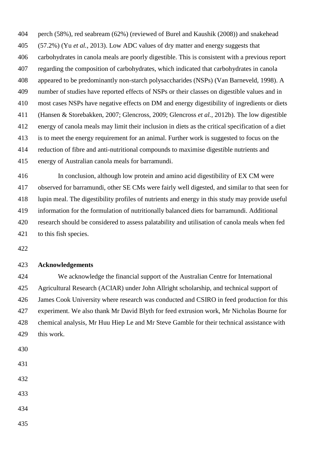perch (58%), red seabream (62%) (reviewed of [Burel and Kaushik \(2008\)](#page-16-9)) and snakehead (57.2%) (Yu *et al.*[, 2013\)](#page-20-9). Low ADC values of dry matter and energy suggests that carbohydrates in canola meals are poorly digestible. This is consistent with a previous report regarding the composition of carbohydrates, which indicated that carbohydrates in canola appeared to be predominantly non-starch polysaccharides (NSPs) [\(Van Barneveld, 1998\)](#page-20-10). A number of studies have reported effects of NSPs or their classes on digestible values and in most cases NSPs have negative effects on DM and energy digestibility of ingredients or diets [\(Hansen & Storebakken, 2007;](#page-19-9) [Glencross, 2009;](#page-17-7) [Glencross](#page-18-7) *et al.*, 2012b). The low digestible energy of canola meals may limit their inclusion in diets as the critical specification of a diet is to meet the energy requirement for an animal. Further work is suggested to focus on the reduction of fibre and anti-nutritional compounds to maximise digestible nutrients and energy of Australian canola meals for barramundi.

 In conclusion, although low protein and amino acid digestibility of EX CM were observed for barramundi, other SE CMs were fairly well digested, and similar to that seen for lupin meal. The digestibility profiles of nutrients and energy in this study may provide useful information for the formulation of nutritionally balanced diets for barramundi. Additional research should be considered to assess palatability and utilisation of canola meals when fed to this fish species.

#### **Acknowledgements**

 We acknowledge the financial support of the Australian Centre for International Agricultural Research (ACIAR) under John Allright scholarship, and technical support of James Cook University where research was conducted and CSIRO in feed production for this experiment. We also thank Mr David Blyth for feed extrusion work, Mr Nicholas Bourne for chemical analysis, Mr Huu Hiep Le and Mr Steve Gamble for their technical assistance with this work.

- 
- 
- 
- 
- 
-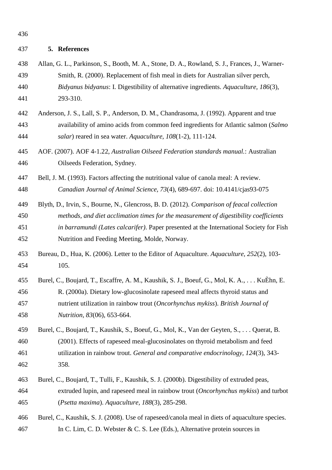#### **5. References**

- <span id="page-16-2"></span> Allan, G. L., Parkinson, S., Booth, M. A., Stone, D. A., Rowland, S. J., Frances, J., Warner- Smith, R. (2000). Replacement of fish meal in diets for Australian silver perch, *Bidyanus bidyanus*: I. Digestibility of alternative ingredients. *Aquaculture, 186*(3), 293-310.
- <span id="page-16-1"></span> Anderson, J. S., Lall, S. P., Anderson, D. M., Chandrasoma, J. (1992). Apparent and true availability of amino acids from common feed ingredients for Atlantic salmon (*Salmo salar*) reared in sea water. *Aquaculture, 108*(1-2), 111-124.
- <span id="page-16-6"></span> AOF. (2007). AOF 4-1.22, *Australian Oilseed Federation standards manual.*: Australian Oilseeds Federation, Sydney.
- <span id="page-16-4"></span> Bell, J. M. (1993). Factors affecting the nutritional value of canola meal: A review. *Canadian Journal of Animal Science, 73*(4), 689-697. doi: 10.4141/cjas93-075
- <span id="page-16-5"></span> Blyth, D., Irvin, S., Bourne, N., Glencross, B. D. (2012). *Comparison of feacal collection methods, and diet acclimation times for the measurement of digestibility coefficients in barramundi (Lates calcarifer)*. Paper presented at the International Society for Fish Nutrition and Feeding Meeting, Molde, Norway.
- <span id="page-16-7"></span> Bureau, D., Hua, K. (2006). Letter to the Editor of Aquaculture. *Aquaculture, 252*(2), 103- 105.
- <span id="page-16-8"></span> Burel, C., Boujard, T., Escaffre, A. M., Kaushik, S. J., Boeuf, G., Mol, K. A., . . . KuÈhn, E. R. (2000a). Dietary low-glucosinolate rapeseed meal affects thyroid status and nutrient utilization in rainbow trout (*Oncorhynchus mykiss*). *British Journal of Nutrition, 83*(06), 653-664.
- <span id="page-16-3"></span> Burel, C., Boujard, T., Kaushik, S., Boeuf, G., Mol, K., Van der Geyten, S., . . . Querat, B. (2001). Effects of rapeseed meal-glucosinolates on thyroid metabolism and feed utilization in rainbow trout. *General and comparative endocrinology, 124*(3), 343- 358.
- <span id="page-16-0"></span> Burel, C., Boujard, T., Tulli, F., Kaushik, S. J. (2000b). Digestibility of extruded peas, extruded lupin, and rapeseed meal in rainbow trout (*Oncorhynchus mykiss*) and turbot (*Psetta maxima*). *Aquaculture, 188*(3), 285-298.
- <span id="page-16-9"></span> Burel, C., Kaushik, S. J. (2008). Use of rapeseed/canola meal in diets of aquaculture species. In C. Lim, C. D. Webster & C. S. Lee (Eds.), Alternative protein sources in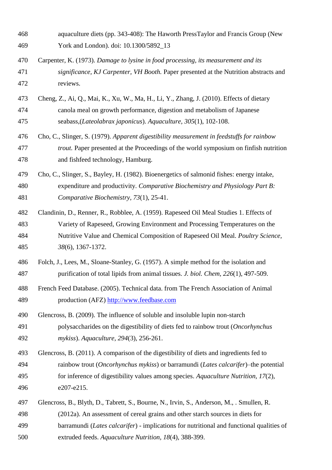<span id="page-17-9"></span><span id="page-17-8"></span><span id="page-17-7"></span><span id="page-17-6"></span><span id="page-17-5"></span><span id="page-17-4"></span><span id="page-17-3"></span><span id="page-17-2"></span><span id="page-17-1"></span><span id="page-17-0"></span>

| 468 | aquaculture diets (pp. 343-408): The Haworth PressTaylor and Francis Group (New           |
|-----|-------------------------------------------------------------------------------------------|
| 469 | York and London). doi: 10.1300/5892_13                                                    |
| 470 | Carpenter, K. (1973). Damage to lysine in food processing, its measurement and its        |
| 471 | significance, KJ Carpenter, VH Booth. Paper presented at the Nutrition abstracts and      |
| 472 | reviews.                                                                                  |
| 473 | Cheng, Z., Ai, Q., Mai, K., Xu, W., Ma, H., Li, Y., Zhang, J. (2010). Effects of dietary  |
| 474 | canola meal on growth performance, digestion and metabolism of Japanese                   |
| 475 | seabass, (Lateolabrax japonicus). Aquaculture, 305(1), 102-108.                           |
| 476 | Cho, C., Slinger, S. (1979). Apparent digestibility measurement in feedstuffs for rainbow |
| 477 | trout. Paper presented at the Proceedings of the world symposium on finfish nutrition     |
| 478 | and fishfeed technology, Hamburg.                                                         |
| 479 | Cho, C., Slinger, S., Bayley, H. (1982). Bioenergetics of salmonid fishes: energy intake, |
| 480 | expenditure and productivity. Comparative Biochemistry and Physiology Part B:             |
| 481 | Comparative Biochemistry, 73(1), 25-41.                                                   |
| 482 | Clandinin, D., Renner, R., Robblee, A. (1959). Rapeseed Oil Meal Studies 1. Effects of    |
| 483 | Variety of Rapeseed, Growing Environment and Processing Temperatures on the               |
| 484 | Nutritive Value and Chemical Composition of Rapeseed Oil Meal. Poultry Science,           |
| 485 | 38(6), 1367-1372.                                                                         |
| 486 | Folch, J., Lees, M., Sloane-Stanley, G. (1957). A simple method for the isolation and     |
| 487 | purification of total lipids from animal tissues. J. biol. Chem, 226(1), 497-509.         |
| 488 | French Feed Database. (2005). Technical data. from The French Association of Animal       |
| 489 | production (AFZ) http://www.feedbase.com                                                  |
| 490 | Glencross, B. (2009). The influence of soluble and insoluble lupin non-starch             |
| 491 | polysaccharides on the digestibility of diets fed to rainbow trout (Oncorhynchus          |
| 492 | mykiss). Aquaculture, 294(3), 256-261.                                                    |
| 493 | Glencross, B. (2011). A comparison of the digestibility of diets and ingredients fed to   |
| 494 | rainbow trout (Oncorhynchus mykiss) or barramundi (Lates calcarifer)–the potential        |
| 495 | for inference of digestibility values among species. Aquaculture Nutrition, 17(2),        |
| 496 | e207-e215.                                                                                |
| 497 | Glencross, B., Blyth, D., Tabrett, S., Bourne, N., Irvin, S., Anderson, M., . Smullen, R. |
| 498 | (2012a). An assessment of cereal grains and other starch sources in diets for             |
| 499 | barramundi (Lates calcarifer) - implications for nutritional and functional qualities of  |
| 500 | extruded feeds. Aquaculture Nutrition, 18(4), 388-399.                                    |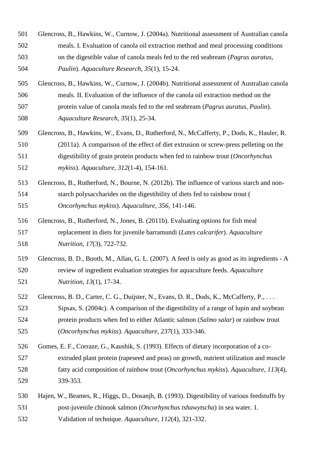- <span id="page-18-1"></span> Glencross, B., Hawkins, W., Curnow, J. (2004a). Nutritional assessment of Australian canola meals. I. Evaluation of canola oil extraction method and meal processing conditions on the digestible value of canola meals fed to the red seabream (*Pagrus auratus, Paulin*). *Aquaculture Research, 35*(1), 15-24.
- <span id="page-18-3"></span> Glencross, B., Hawkins, W., Curnow, J. (2004b). Nutritional assessment of Australian canola meals. II. Evaluation of the influence of the canola oil extraction method on the protein value of canola meals fed to the red seabream (*Pagrus auratus, Paulin*). *Aquaculture Research, 35*(1), 25-34.
- <span id="page-18-6"></span> Glencross, B., Hawkins, W., Evans, D., Rutherford, N., McCafferty, P., Dods, K., Hauler, R. (2011a). A comparison of the effect of diet extrusion or screw-press pelleting on the digestibility of grain protein products when fed to rainbow trout (*Oncorhynchus mykiss*). *Aquaculture, 312*(1-4), 154-161.
- <span id="page-18-7"></span> Glencross, B., Rutherford, N., Bourne, N. (2012b). The influence of various starch and non- starch polysaccharides on the digestibility of diets fed to rainbow trout ( *Oncorhynchus mykiss*). *Aquaculture, 356*, 141-146.
- <span id="page-18-4"></span> Glencross, B., Rutherford, N., Jones, B. (2011b). Evaluating options for fish meal replacement in diets for juvenile barramundi (*Lates calcarifer*). *Aquaculture Nutrition, 17*(3), 722-732.
- <span id="page-18-5"></span> Glencross, B. D., Booth, M., Allan, G. L. (2007). A feed is only as good as its ingredients - A review of ingredient evaluation strategies for aquaculture feeds. *Aquaculture Nutrition, 13*(1), 17-34.
- <span id="page-18-8"></span>522 Glencross, B. D., Carter, C. G., Duijster, N., Evans, D. R., Dods, K., McCafferty, P., ... Sipsas, S. (2004c). A comparison of the digestibility of a range of lupin and soybean protein products when fed to either Atlantic salmon (*Salmo salar*) or rainbow trout (*Oncorhynchus mykiss*). *Aquaculture, 237*(1), 333-346.
- <span id="page-18-2"></span> Gomes, E. F., Corraze, G., Kaushik, S. (1993). Effects of dietary incorporation of a co- extruded plant protein (rapeseed and peas) on growth, nutrient utilization and muscle fatty acid composition of rainbow trout (*Oncorhynchus mykiss*). *Aquaculture, 113*(4), 339-353.
- <span id="page-18-0"></span> Hajen, W., Beames, R., Higgs, D., Dosanjh, B. (1993). Digestibility of various feedstuffs by post-juvenile chinook salmon (*Oncorhynchus tshawytscha*) in sea water. 1. Validation of technique. *Aquaculture, 112*(4), 321-332.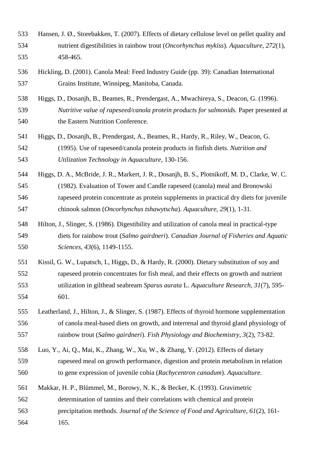- <span id="page-19-9"></span> Hansen, J. Ø., Storebakken, T. (2007). Effects of dietary cellulose level on pellet quality and nutrient digestibilities in rainbow trout (*Oncorhynchus mykiss*). *Aquaculture, 272*(1), 458-465.
- <span id="page-19-7"></span> Hickling, D. (2001). Canola Meal: Feed Industry Guide (pp. 39): Canadian International Grains Institute, Winnipeg, Manitoba, Canada.
- <span id="page-19-2"></span> Higgs, D., Dosanjh, B., Beames, R., Prendergast, A., Mwachireya, S., Deacon, G. (1996). *Nutritive value of rapeseed/canola protein products for salmonids.* Paper presented at the Eastern Nutrition Conference.
- <span id="page-19-1"></span> Higgs, D., Dosanjh, B., Prendergast, A., Beames, R., Hardy, R., Riley, W., Deacon, G. (1995). Use of rapeseed/canola protein products in finfish diets. *Nutrition and Utilization Technology in Aquaculture*, 130-156.
- <span id="page-19-3"></span> Higgs, D. A., McBride, J. R., Markert, J. R., Dosanjh, B. S., Plotnikoff, M. D., Clarke, W. C. (1982). Evaluation of Tower and Candle rapeseed (canola) meal and Bronowski rapeseed protein concentrate as protein supplements in practical dry diets for juvenile chinook salmon (*Oncorhynchus tshawytscha*). *Aquaculture, 29*(1), 1-31.
- <span id="page-19-0"></span> Hilton, J., Slinger, S. (1986). Digestibility and utilization of canola meal in practical-type diets for rainbow trout (*Salmo gairdneri*). *Canadian Journal of Fisheries and Aquatic Sciences, 43*(6), 1149-1155.
- <span id="page-19-4"></span> Kissil, G. W., Lupatsch, I., Higgs, D., & Hardy, R. (2000). Dietary substitution of soy and rapeseed protein concentrates for fish meal, and their effects on growth and nutrient utilization in gilthead seabream *Sparus aurata* L. *Aquaculture Research, 31*(7), 595- 601.
- <span id="page-19-6"></span> Leatherland, J., Hilton, J., & Slinger, S. (1987). Effects of thyroid hormone supplementation of canola meal-based diets on growth, and interrenal and thyroid gland physiology of rainbow trout (*Salmo gairdneri*). *Fish Physiology and Biochemistry, 3*(2), 73-82.
- <span id="page-19-5"></span> Luo, Y., Ai, Q., Mai, K., Zhang, W., Xu, W., & Zhang, Y. (2012). Effects of dietary rapeseed meal on growth performance, digestion and protein metabolism in relation to gene expression of juvenile cobia (*Rachycentron canadum*). *Aquaculture*.
- <span id="page-19-8"></span>Makkar, H. P., Blümmel, M., Borowy, N. K., & Becker, K. (1993). Gravimetric
- determination of tannins and their correlations with chemical and protein
- precipitation methods. *Journal of the Science of Food and Agriculture, 61*(2), 161-
- 165.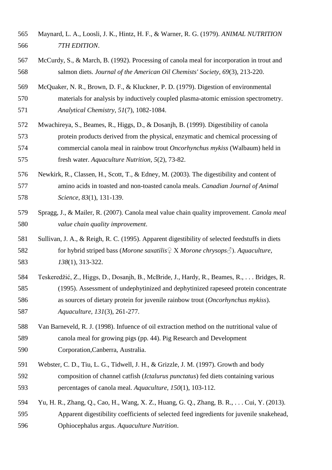- <span id="page-20-5"></span> Maynard, L. A., Loosli, J. K., Hintz, H. F., & Warner, R. G. (1979). *ANIMAL NUTRITION 7TH EDITION*.
- <span id="page-20-1"></span> McCurdy, S., & March, B. (1992). Processing of canola meal for incorporation in trout and salmon diets. *Journal of the American Oil Chemists' Society, 69*(3), 213-220.
- <span id="page-20-4"></span> McQuaker, N. R., Brown, D. F., & Kluckner, P. D. (1979). Digestion of environmental materials for analysis by inductively coupled plasma-atomic emission spectrometry. *Analytical Chemistry, 51*(7), 1082-1084.
- <span id="page-20-0"></span> Mwachireya, S., Beames, R., Higgs, D., & Dosanjh, B. (1999). Digestibility of canola protein products derived from the physical, enzymatic and chemical processing of commercial canola meal in rainbow trout *Oncorhynchus mykiss* (Walbaum) held in fresh water. *Aquaculture Nutrition, 5*(2), 73-82.
- <span id="page-20-7"></span> Newkirk, R., Classen, H., Scott, T., & Edney, M. (2003). The digestibility and content of amino acids in toasted and non-toasted canola meals. *Canadian Journal of Animal Science, 83*(1), 131-139.
- <span id="page-20-6"></span> Spragg, J., & Mailer, R. (2007). Canola meal value chain quality improvement. *Canola meal value chain quality improvement*.
- <span id="page-20-8"></span> Sullivan, J. A., & Reigh, R. C. (1995). Apparent digestibility of selected feedstuffs in diets for hybrid striped bass (*Morone saxatilis*♀ X *Morone chrysops*♂). *Aquaculture, 138*(1), 313-322.
- <span id="page-20-3"></span> Teskeredžić, Z., Higgs, D., Dosanjh, B., McBride, J., Hardy, R., Beames, R., . . . Bridges, R. (1995). Assessment of undephytinized and dephytinized rapeseed protein concentrate as sources of dietary protein for juvenile rainbow trout (*Oncorhynchus mykiss*). *Aquaculture, 131*(3), 261-277.
- <span id="page-20-10"></span> Van Barneveld, R. J. (1998). Infuence of oil extraction method on the nutritional value of canola meal for growing pigs (pp. 44). Pig Research and Development Corporation,Canberra, Australia.
- <span id="page-20-2"></span> Webster, C. D., Tiu, L. G., Tidwell, J. H., & Grizzle, J. M. (1997). Growth and body composition of channel catfish (*Ictalurus punctatus*) fed diets containing various percentages of canola meal. *Aquaculture, 150*(1), 103-112.
- <span id="page-20-9"></span> Yu, H. R., Zhang, Q., Cao, H., Wang, X. Z., Huang, G. Q., Zhang, B. R., . . . Cui, Y. (2013). Apparent digestibility coefficients of selected feed ingredients for juvenile snakehead, Ophiocephalus argus. *Aquaculture Nutrition*.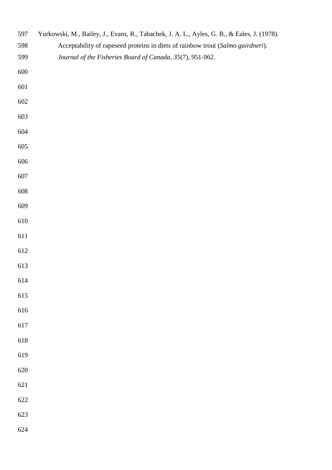<span id="page-21-0"></span>

| 597 | Yurkowski, M., Bailey, J., Evans, R., Tabachek, J. A. L., Ayles, G. B., & Eales, J. (1978). |  |
|-----|---------------------------------------------------------------------------------------------|--|
| 598 | Acceptability of rapeseed proteins in diets of rainbow trout (Salmo gairdneri).             |  |
| 599 | Journal of the Fisheries Board of Canada, 35(7), 951-962.                                   |  |
| 600 |                                                                                             |  |
| 601 |                                                                                             |  |
| 602 |                                                                                             |  |
| 603 |                                                                                             |  |
| 604 |                                                                                             |  |
| 605 |                                                                                             |  |
| 606 |                                                                                             |  |
| 607 |                                                                                             |  |
| 608 |                                                                                             |  |
| 609 |                                                                                             |  |
| 610 |                                                                                             |  |
| 611 |                                                                                             |  |
| 612 |                                                                                             |  |
| 613 |                                                                                             |  |
| 614 |                                                                                             |  |
| 615 |                                                                                             |  |
| 616 |                                                                                             |  |
| 617 |                                                                                             |  |
| 618 |                                                                                             |  |
| 619 |                                                                                             |  |
| 620 |                                                                                             |  |
| 621 |                                                                                             |  |
| 622 |                                                                                             |  |
| 623 |                                                                                             |  |
| 624 |                                                                                             |  |
|     |                                                                                             |  |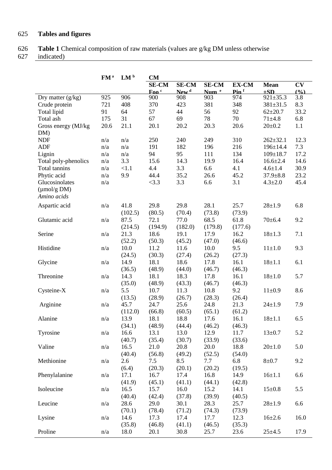# 625 **Tables and figures**

626 **Table 1** Chemical composition of raw materials (values are g/kg DM unless otherwise

627 indicated)

|                         | FM <sup>a</sup> | LM <sup>b</sup> | <b>CM</b>       |                  |                  |                             |                |           |
|-------------------------|-----------------|-----------------|-----------------|------------------|------------------|-----------------------------|----------------|-----------|
|                         |                 |                 | <b>SE-CM</b>    | <b>SE-CM</b>     | <b>SE-CM</b>     | EX-CM                       | <b>Mean</b>    | <b>CV</b> |
|                         |                 |                 | $\frac{F}{200}$ | New <sup>d</sup> | Num <sup>e</sup> | $\mathbf{Pin}$ <sup>f</sup> | $+SD$          | (0)       |
| Dry matter $(g/kg)$     | 925             | 906             | 900             | 908              | 903              | 974                         | $921 \pm 35.3$ | 3.8       |
| Crude protein           | 721             | 408             | 370             | 423              | 381              | 348                         | $381 \pm 31.5$ | 8.3       |
| Total lipid             | 91              | 64              | 57              | 44               | 56               | 92                          | $62 + 20.7$    | 33.2      |
| Total ash               | 175             | 31              | 67              | 69               | 78               | 70                          | $71 + 4.8$     | 6.8       |
| Gross energy (MJ/kg)    | 20.6            | 21.1            | 20.1            | 20.2             | 20.3             | 20.6                        | $20 \pm 0.2$   | 1.1       |
| DM)                     |                 |                 |                 |                  |                  |                             |                |           |
| <b>NDF</b>              | n/a             | n/a             | 250             | 240              | 249              | 310                         | $262 + 32.1$   | 12.3      |
| <b>ADF</b>              | n/a             | n/a             | 191             | 182              | 196              | 216                         | $196 \pm 14.4$ | 7.3       |
| Lignin                  | n/a             | n/a             | 94              | 95               | 111              | 134                         | $109 \pm 18.7$ | 17.2      |
| Total poly-phenolics    | n/a             | 3.3             | 15.6            | 14.3             | 19.9             | 16.4                        | $16.6{\pm}2.4$ | 14.6      |
| Total tannins           | n/a             | <1.1            | 4.4             | 3.3              | 6.6              | 4.1                         | $4.6 \pm 1.4$  | 30.9      |
| Phytic acid             | n/a             | 9.9             | 44.4            | 35.2             | 26.6             | 45.2                        | $37.9 \pm 8.8$ | 23.2      |
| Glucosinolates          | n/a             |                 | <3.3            | 3.3              | 6.6              | 3.1                         | $4.3 \pm 2.0$  | 45.4      |
| $(\mu \text{mol/g DM})$ |                 |                 |                 |                  |                  |                             |                |           |
| Amino acids             |                 |                 |                 |                  |                  |                             |                |           |
| Aspartic acid           | n/a             | 41.8            | 29.8            | 29.8             | 28.1             | 25.7                        | $28 + 1.9$     | 6.8       |
|                         |                 | (102.5)         | (80.5)          | (70.4)           | (73.8)           | (73.9)                      |                |           |
| Glutamic acid           | n/a             | 87.5            | 72.1            | 77.0             | 68.5             | 61.8                        | $70 \pm 6.4$   | 9.2       |
|                         |                 | (214.5)         | (194.9)         | (182.0)          | (179.8)          | (177.6)                     |                |           |
| Serine                  | n/a             | 21.3            | 18.6            | 19.1             | 17.9             | 16.2                        | $18 + 1.3$     | 7.1       |
|                         |                 | (52.2)          | (50.3)          | (45.2)           | (47.0)           | (46.6)                      |                |           |
| Histidine               | n/a             | 10.0            | 11.2            | 11.6             | 10.0             | 9.5                         | $11 \pm 1.0$   | 9.3       |
|                         |                 | (24.5)          | (30.3)          | (27.4)           | (26.2)           | (27.3)                      |                |           |
| Glycine                 | n/a             | 14.9            | 18.1            | 18.6             | 17.8             | 16.1                        | $18 + 1.1$     | 6.1       |
|                         |                 | (36.5)          | (48.9)          | (44.0)           | (46.7)           | (46.3)                      |                |           |
| Threonine               | n/a             | 14.3            | 18.1            | 18.3             | 17.8             | 16.1                        | $18 + 1.0$     | 5.7       |
|                         |                 | (35.0)          | (48.9)          | (43.3)           | (46.7)           | (46.3)                      |                |           |
| Cysteine-X              | n/a             | 5.5             | 10.7            | 11.3             | 10.8             | 9.2                         | $11 \pm 0.9$   | 8.6       |
|                         |                 | (13.5)          | (28.9)          | (26.7)           | (28.3)           | (26.4)                      |                |           |
| Arginine                | n/a             | 45.7            | 24.7            | 25.6             | 24.8             | 21.3                        | $24 \pm 1.9$   | 7.9       |
|                         |                 | (112.0)         | (66.8)          | (60.5)           | (65.1)           | (61.2)                      |                |           |
| Alanine                 | n/a             | 13.9            | 18.1            | 18.8             | 17.6             | 16.1                        | $18 + 1.1$     | 6.5       |
|                         |                 | (34.1)          | (48.9)          | (44.4)           | (46.2)           | (46.3)                      |                |           |
| Tyrosine                | n/a             | 16.6            | 13.1            | 13.0             | 12.9             | 11.7                        | $13 \pm 0.7$   | 5.2       |
|                         |                 | (40.7)          | (35.4)          | (30.7)           | (33.9)           | (33.6)                      |                |           |
| Valine                  | n/a             | 16.5            | 21.0            | 20.8             | 20.0             | 18.8                        | $20 \pm 1.0$   | 5.0       |
|                         |                 | (40.4)          | (56.8)          | (49.2)           | (52.5)           | (54.0)                      |                |           |
| Methionine              | n/a             | 2.6             | 7.5             | 8.5              | 7.7              | 6.8                         | $8 + 0.7$      | 9.2       |
|                         |                 | (6.4)           | (20.3)          | (20.1)           | (20.2)           | (19.5)                      |                |           |
| Phenylalanine           | n/a             | 17.1            | 16.7            | 17.4             | 16.8             | 14.9                        | $16 \pm 1.1$   | 6.6       |
|                         |                 | (41.9)          | (45.1)          | (41.1)           | (44.1)           | (42.8)                      |                |           |
| Isoleucine              | n/a             | 16.5            | 15.7            | 16.0             | 15.2             | 14.1                        | $15 \pm 0.8$   | 5.5       |
|                         |                 | (40.4)          | (42.4)          | (37.8)           | (39.9)           | (40.5)                      |                |           |
| Leucine                 | n/a             | 28.6            | 29.0            | 30.1             | 28.3             | 25.7                        | $28 + 1.9$     | 6.6       |
|                         |                 | (70.1)          | (78.4)          | (71.2)           | (74.3)           | (73.9)                      |                |           |
| Lysine                  | n/a             | 14.6            | 17.3            | 17.4             | 17.7             | 12.3                        | $16 \pm 2.6$   | 16.0      |
|                         |                 | (35.8)          | (46.8)          | (41.1)           | (46.5)           | (35.3)                      |                |           |
| Proline                 | n/a             | 18.0            | 20.1            | 30.8             | 25.7             | 23.6                        | $25 \pm 4.5$   | 17.9      |
|                         |                 |                 |                 |                  |                  |                             |                |           |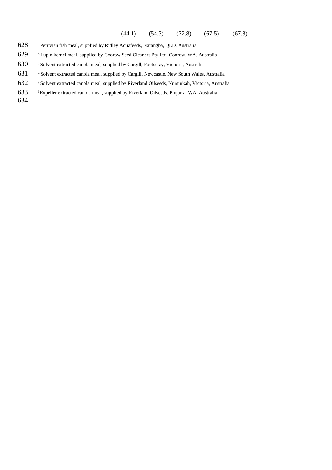- 628 <sup>a</sup> Peruvian fish meal, supplied by Ridley Aquafeeds, Narangba, QLD, Australia
- 629 **Lupin kernel meal, supplied by Coorow Seed Cleaners Pty Ltd, Coorow, WA, Australia**
- 630 Solvent extracted canola meal, supplied by Cargill, Footscray, Victoria, Australia
- 631 dSolvent extracted canola meal, supplied by Cargill, Newcastle, New South Wales, Australia
- 632 <sup>e</sup> Solvent extracted canola meal, supplied by Riverland Oilseeds, Numurkah, Victoria, Australia
- <sup>f</sup>633 Expeller extracted canola meal, supplied by Riverland Oilseeds, Pinjarra, WA, Australia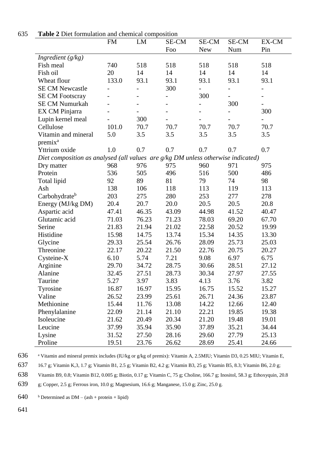|                                                                                  | FM    | LM    | SE-CM | SE-CM                    | SE-CM                    | EX-CM                    |
|----------------------------------------------------------------------------------|-------|-------|-------|--------------------------|--------------------------|--------------------------|
|                                                                                  |       |       | Foo   | <b>New</b>               | Num                      | Pin                      |
| Ingredient $(g/kg)$                                                              |       |       |       |                          |                          |                          |
| Fish meal                                                                        | 740   | 518   | 518   | 518                      | 518                      | 518                      |
| Fish oil                                                                         | 20    | 14    | 14    | 14                       | 14                       | 14                       |
| Wheat flour                                                                      | 133.0 | 93.1  | 93.1  | 93.1                     | 93.1                     | 93.1                     |
| <b>SE CM Newcastle</b>                                                           |       |       | 300   |                          |                          | $\overline{\phantom{0}}$ |
| <b>SE CM Footscray</b>                                                           |       |       |       | 300                      | $\overline{\phantom{a}}$ | $\overline{\phantom{a}}$ |
| <b>SE CM Numurkah</b>                                                            |       |       |       | $\overline{\phantom{0}}$ | 300                      | $\overline{\phantom{a}}$ |
| EX CM Pinjarra                                                                   |       |       |       |                          |                          | 300                      |
| Lupin kernel meal                                                                |       | 300   |       |                          |                          |                          |
| Cellulose                                                                        | 101.0 | 70.7  | 70.7  | 70.7                     | 70.7                     | 70.7                     |
| Vitamin and mineral                                                              | 5.0   | 3.5   | 3.5   | 3.5                      | 3.5                      | 3.5                      |
| premix <sup>a</sup>                                                              |       |       |       |                          |                          |                          |
| Yttrium oxide                                                                    | 1.0   | 0.7   | 0.7   | 0.7                      | 0.7                      | 0.7                      |
| Diet composition as analysed (all values are g/kg DM unless otherwise indicated) |       |       |       |                          |                          |                          |
| Dry matter                                                                       | 968   | 976   | 975   | 960                      | 971                      | 975                      |
| Protein                                                                          | 536   | 505   | 496   | 516                      | 500                      | 486                      |
| Total lipid                                                                      | 92    | 89    | 81    | 79                       | 74                       | 98                       |
| Ash                                                                              | 138   | 106   | 118   | 113                      | 119                      | 113                      |
| Carbohydrate <sup>b</sup>                                                        | 203   | 275   | 280   | 253                      | 277                      | 278                      |
| Energy (MJ/kg DM)                                                                | 20.4  | 20.7  | 20.0  | 20.5                     | 20.5                     | 20.8                     |
| Aspartic acid                                                                    | 47.41 | 46.35 | 43.09 | 44.98                    | 41.52                    | 40.47                    |
| Glutamic acid                                                                    | 71.03 | 76.23 | 71.23 | 78.03                    | 69.20                    | 67.70                    |
| Serine                                                                           | 21.83 | 21.94 | 21.02 | 22.58                    | 20.52                    | 19.99                    |
| Histidine                                                                        | 15.98 | 14.75 | 13.74 | 15.34                    | 14.35                    | 13.30                    |
| Glycine                                                                          | 29.33 | 25.54 | 26.76 | 28.09                    | 25.73                    | 25.03                    |
| Threonine                                                                        | 22.17 | 20.22 | 21.50 | 22.76                    | 20.75                    | 20.27                    |
| Cysteine-X                                                                       | 6.10  | 5.74  | 7.21  | 9.08                     | 6.97                     | 6.75                     |
| Arginine                                                                         | 29.70 | 34.72 | 28.75 | 30.66                    | 28.51                    | 27.12                    |
| Alanine                                                                          | 32.45 | 27.51 | 28.73 | 30.34                    | 27.97                    | 27.55                    |
| Taurine                                                                          | 5.27  | 3.97  | 3.83  | 4.13                     | 3.76                     | 3.82                     |
| Tyrosine                                                                         | 16.87 | 16.97 | 15.95 | 16.75                    | 15.52                    | 15.27                    |
| Valine                                                                           | 26.52 | 23.99 | 25.61 | 26.71                    | 24.36                    | 23.87                    |
| Methionine                                                                       | 15.44 | 11.76 | 13.08 | 14.22                    | 12.66                    | 12.40                    |
| Phenylalanine                                                                    | 22.09 | 21.14 | 21.10 | 22.21                    | 19.85                    | 19.38                    |
| Isoleucine                                                                       | 21.62 | 20.49 | 20.34 | 21.20                    | 19.48                    | 19.01                    |
| Leucine                                                                          | 37.99 | 35.94 | 35.90 | 37.89                    | 35.21                    | 34.44                    |
| Lysine                                                                           | 31.52 | 27.50 | 28.16 | 29.60                    | 27.79                    | 25.13                    |
| Proline                                                                          | 19.51 | 23.76 | 26.62 | 28.69                    | 25.41                    | 24.66                    |

# 635 **Table 2** Diet formulation and chemical composition

636 <sup>a</sup> Vitamin and mineral premix includes (IU/kg or g/kg of premix): Vitamin A, 2.5MIU; Vitamin D3, 0.25 MIU; Vitamin E,

637 16.7 g; Vitamin K,3, 1.7 g; Vitamin B1, 2.5 g; Vitamin B2, 4.2 g; Vitamin B3, 25 g; Vitamin B5, 8.3; Vitamin B6, 2.0 g;

638 Vitamin B9, 0.8; Vitamin B12, 0.005 g; Biotin, 0.17 g; Vitamin C, 75 g; Choline, 166.7 g; Inositol, 58.3 g; Ethoxyquin, 20.8

639 g; Copper, 2.5 g; Ferrous iron, 10.0 g; Magnesium, 16.6 g; Manganese, 15.0 g; Zinc, 25.0 g.

640 b Determined as  $DM - (ash + protein + lipid)$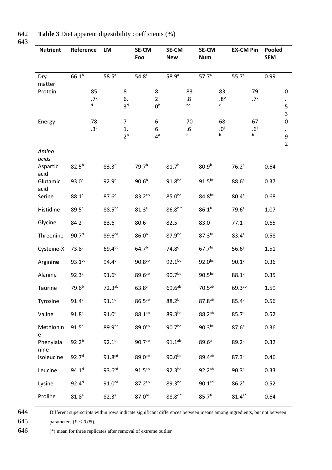| 642 |  | <b>Table 3</b> Diet apparent digestibility coefficients (%) |  |
|-----|--|-------------------------------------------------------------|--|
|     |  |                                                             |  |

| <b>Nutrient</b>                    | Reference                                | LM                                             | <b>SE-CM</b><br>Foo                            | <b>SE-CM</b><br><b>New</b>          | <b>SE-CM</b><br><b>Num</b>                      | <b>EX-CM Pin</b>                           | Pooled<br><b>SEM</b>                            |
|------------------------------------|------------------------------------------|------------------------------------------------|------------------------------------------------|-------------------------------------|-------------------------------------------------|--------------------------------------------|-------------------------------------------------|
| Dry<br>matter<br>Protein           | $66.1^{b}$<br>85<br>.7 <sup>c</sup><br>d | 58.5 <sup>a</sup><br>8<br>6.<br>3 <sup>d</sup> | 54.8 <sup>a</sup><br>8<br>2.<br>0 <sup>b</sup> | 58.9 <sup>a</sup><br>83<br>.8<br>bc | 57.7 <sup>a</sup><br>83<br>.8 <sup>b</sup><br>c | 55.7 <sup>a</sup><br>79<br>.7 <sup>a</sup> | 0.99<br>0<br>$\bullet$<br>5<br>3                |
| Energy                             | 78<br>.3 <sup>c</sup>                    | $\overline{7}$<br>1.<br>2 <sup>b</sup>         | 6<br>6.<br>$4^a$                               | 70<br>.6<br>b                       | 68<br>.0 <sup>a</sup><br>b                      | 67<br>.6 <sup>a</sup><br>b                 | $\mathbf 0$<br>$\bullet$<br>9<br>$\overline{2}$ |
| Amino<br>acids<br>Aspartic<br>acid | $82.5^{b}$                               | $83.3^{b}$                                     | 79.7 <sup>b</sup>                              | $81.7^{b}$                          | 80.9 <sup>b</sup>                               | 76.2 <sup>a</sup>                          | 0.64                                            |
| Glutamic<br>acid<br>Serine         | 93.0 <sup>c</sup>                        | 92.9 <sup>c</sup><br>87.6 <sup>c</sup>         | 90.6 <sup>b</sup><br>$83.2^{ab}$               | $91.8^{bc}$<br>$85.0^{bc}$          | $91.5^{bc}$<br>$84.8^{bc}$                      | 88.6 <sup>a</sup><br>80.4 <sup>a</sup>     | 0.37                                            |
| Histidine                          | $88.1$ c<br>89.5 <sup>c</sup>            | $88.5^{bc}$                                    | 81.3 <sup>a</sup>                              | $86.8^{\mathrm{b}\,*}$              | $86.1^{b}$                                      | 79.6 <sup>a</sup>                          | 0.68<br>1.07                                    |
| Glycine<br>Threonine               | 84.2<br>90.7 <sup>d</sup>                | 83.6<br>89.6cd                                 | 80.6<br>86.0 <sup>b</sup>                      | 82.5<br>87.9bc                      | 83.0<br>$87.3^{bc}$                             | 77.1<br>83.4a                              | 0.65<br>0.58                                    |
| Cysteine-X                         | 73.8 <sup>c</sup>                        | 69.4bc                                         | 64.7 <sup>b</sup>                              | 74.8 <sup>c</sup>                   | 67.7 <sup>bc</sup>                              | 56.6 <sup>a</sup>                          | 1.51                                            |
| Arginine<br>Alanine                | 93.1 <sup>cd</sup><br>92.3 <sup>c</sup>  | 94.4 <sup>d</sup><br>91.6 <sup>c</sup>         | $90.8^{ab}$<br>$89.6^{ab}$                     | $92.1^{bc}$<br>$90.7^{bc}$          | $92.0^{bc}$<br>$90.5^{bc}$                      | 90.1 <sup>a</sup><br>$88.1^{a}$            | 0.36<br>0.35                                    |
| Taurine                            | 79.6 <sup>b</sup>                        | $72.3^{ab}$                                    | 63.8 <sup>a</sup>                              | $69.6^{ab}$                         | 70.5 <sup>ab</sup>                              | 69.3ab                                     | 1.59                                            |
| Tyrosine<br>Valine                 | 91.4 <sup>c</sup><br>91.8 <sup>c</sup>   | 91.1 <sup>c</sup><br>91.0 <sup>c</sup>         | $86.5^{ab}$<br>$88.1^{ab}$                     | $88.2^{b}$<br>$89.3^{bc}$           | $87.8^{ab}$<br>$88.2^{ab}$                      | 85.4 <sup>a</sup><br>85.7 <sup>a</sup>     | 0.56<br>0.52                                    |
| Methionin<br>e                     | 91.5 <sup>c</sup>                        | $89.9^{bc}$                                    | $89.0^{ab}$                                    | $90.7^{bc}$                         | 90.3 <sup>bc</sup>                              | 87.6 <sup>a</sup>                          | 0.36                                            |
| Phenylala<br>nine                  | $92.2^{b}$                               | $92.1^{b}$                                     | 90.7ab                                         | $91.1^{ab}$                         | 89.6 <sup>a</sup>                               | 89.2a                                      | 0.32                                            |
| Isoleucine<br>Leucine              | 92.7 <sup>d</sup><br>$94.1^d$            | 91.8cd<br>93.6 <sup>cd</sup>                   | 89.0ab<br>$91.5^{ab}$                          | $90.0^{bc}$<br>$92.3^{bc}$          | 89.4ab<br>$92.2^{ab}$                           | 87.3 <sup>a</sup><br>90.3 <sup>a</sup>     | 0.46<br>0.33                                    |
| Lysine                             | $92.4^{d}$                               | 91.0 <sup>cd</sup>                             | $87.2^{ab}$                                    | $89.3^{bc}$                         | 90.1 <sup>cd</sup>                              | 86.2a                                      | 0.52                                            |
| Proline                            | 81.8 <sup>a</sup>                        | 82.3 <sup>a</sup>                              | $87.0^{bc}$                                    | $88.8^\circ$                        | 85.7 <sup>b</sup>                               | $81.4^{a*}$                                | 0.64                                            |

644 Different superscripts within rows indicate significant differences between means among ingredients, but not between

645 parameters (*P* < 0.05).

646 (\*) mean for three replicates after removal of extreme outlier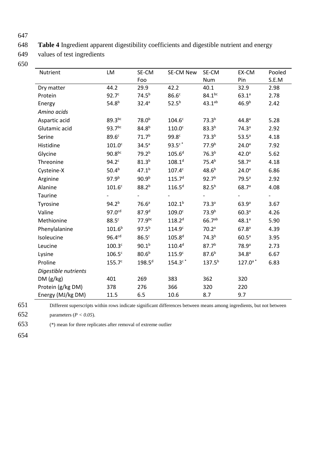648 **Table 4** Ingredient apparent digestibility coefficients and digestible nutrient and energy

649 values of test ingredients

650

| Nutrient             | LM                 | SE-CM             | SE-CM New          | SE-CM             | EX-CM             | Pooled |
|----------------------|--------------------|-------------------|--------------------|-------------------|-------------------|--------|
|                      |                    | Foo               |                    | <b>Num</b>        | Pin               | S.E.M  |
| Dry matter           | 44.2               | 29.9              | 42.2               | 40.1              | 32.9              | 2.98   |
| Protein              | 92.7 <sup>c</sup>  | $74.5^{b}$        | 86.6 <sup>c</sup>  | $84.1^{bc}$       | $63.1^{a}$        | 2.78   |
| Energy               | 54.8 <sup>b</sup>  | 32.4a             | $52.5^{b}$         | $43.1^{ab}$       | 46.9 <sup>b</sup> | 2.42   |
| Amino acids          |                    |                   |                    |                   |                   |        |
| Aspartic acid        | $89.3^{bc}$        | 78.0 <sup>b</sup> | 104.6 <sup>c</sup> | 73.3 <sup>b</sup> | 44.8 <sup>a</sup> | 5.28   |
| Glutamic acid        | $93.7^{bc}$        | $84.8^{b}$        | 110.0 <sup>c</sup> | $83.3^{b}$        | 74.3 <sup>a</sup> | 2.92   |
| Serine               | 89.6 <sup>c</sup>  | 71.7 <sup>b</sup> | 99.8 <sup>c</sup>  | 73.3 <sup>b</sup> | $53.5^a$          | 4.18   |
| Histidine            | 101.0 <sup>c</sup> | 34.5 <sup>a</sup> | $93.5^{\circ}$     | 77.9 <sup>b</sup> | 24.0 <sup>a</sup> | 7.92   |
| Glycine              | 90.8 <sup>bc</sup> | 79.2 <sup>b</sup> | 105.6 <sup>d</sup> | 76.3 <sup>b</sup> | 42.0 <sup>a</sup> | 5.62   |
| Threonine            | 94.2 <sup>c</sup>  | $81.3^{b}$        | 108.1 <sup>d</sup> | 75.4 <sup>b</sup> | 58.7 <sup>a</sup> | 4.18   |
| Cysteine-X           | 50.4 <sup>b</sup>  | $47.1^{b}$        | 107.4 <sup>c</sup> | $48.6^{b}$        | 24.0 <sup>a</sup> | 6.86   |
| Arginine             | 97.9 <sup>b</sup>  | 90.9 <sup>b</sup> | 115.7 <sup>d</sup> | 92.7 <sup>b</sup> | 79.5 <sup>a</sup> | 2.92   |
| Alanine              | 101.6 <sup>c</sup> | $88.2^{b}$        | $116.5^{d}$        | $82.5^{b}$        | 68.7 <sup>a</sup> | 4.08   |
| Taurine              |                    |                   |                    |                   |                   |        |
| Tyrosine             | $94.2^{b}$         | 76.6 <sup>a</sup> | $102.1^{b}$        | 73.3 <sup>a</sup> | 63.9 <sup>a</sup> | 3.67   |
| Valine               | 97.0 <sup>cd</sup> | 87.9 <sup>d</sup> | 109.0 <sup>c</sup> | 73.9 <sup>b</sup> | 60.3 <sup>a</sup> | 4.26   |
| Methionine           | 88.5 <sup>c</sup>  | $77.9^{bc}$       | $118.2^{d}$        | $66.7^{ab}$       | $48.1^{a}$        | 5.90   |
| Phenylalanine        | $101.6^{b}$        | $97.5^{b}$        | 114.9 <sup>c</sup> | 70.2 <sup>a</sup> | 67.8 <sup>a</sup> | 4.39   |
| Isoleucine           | 96.4 <sup>cd</sup> | 86.5 <sup>c</sup> | $105.8^{d}$        | 74.3 <sup>b</sup> | 60.5 <sup>a</sup> | 3.95   |
| Leucine              | 100.3 <sup>c</sup> | $90.1^{b}$        | $110.4^d$          | 87.7 <sup>b</sup> | 78.9 <sup>a</sup> | 2.73   |
| Lysine               | 106.5 <sup>c</sup> | $80.6^{b}$        | 115.9 <sup>c</sup> | $87.6^{b}$        | 34.8 <sup>a</sup> | 6.67   |
| Proline              | 155.7 <sup>c</sup> | $198.5^{d}$       | $154.3c*$          | $137.5^{b}$       | $127.0^{a}$ *     | 6.83   |
| Digestible nutrients |                    |                   |                    |                   |                   |        |
| DM(g/kg)             | 401                | 269               | 383                | 362               | 320               |        |
| Protein (g/kg DM)    | 378                | 276               | 366                | 320               | 220               |        |
| Energy (MJ/kg DM)    | 11.5               | 6.5               | 10.6               | 8.7               | 9.7               |        |

651 Different superscripts within rows indicate significant differences between means among ingredients, but not between

652 parameters (*P < 0.05*).

653 (\*) mean for three replicates after removal of extreme outlier